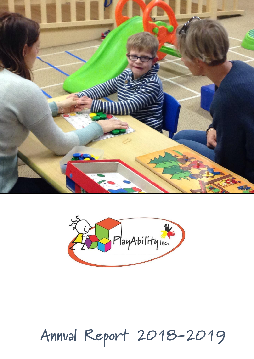



# **Annual Report 2018 <sup>1</sup> -2019**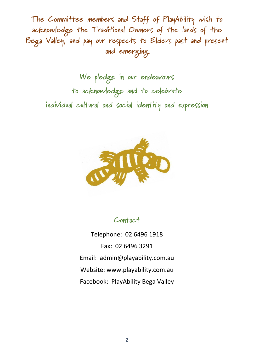**The Committee members and Staff of PlayAbility wish to acknowledge the Traditional Owners of the lands of the Bega Valley, and pay our respects to Elders past and present and emerging**

**We pledge in our endeavours to acknowledge and to celebrate individual cultural and social identity and expression**



**Contact**

Telephone: 02 6496 1918 Fax: 02 6496 3291 Email: [admin@playability.com.au](mailto:admin@playability.com.au) Website: [www.playability.com.au](http://www.playability.com.au/) Facebook: PlayAbility Bega Valley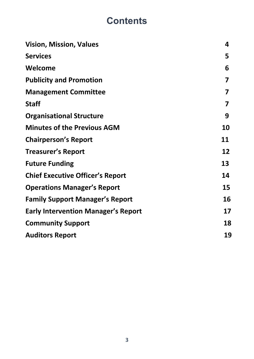# **Contents**

| <b>Vision, Mission, Values</b>             | 4  |
|--------------------------------------------|----|
| <b>Services</b>                            | 5  |
| Welcome                                    | 6  |
| <b>Publicity and Promotion</b>             | 7  |
| <b>Management Committee</b>                | 7  |
| <b>Staff</b>                               | 7  |
| <b>Organisational Structure</b>            | 9  |
| <b>Minutes of the Previous AGM</b>         | 10 |
| <b>Chairperson's Report</b>                | 11 |
| <b>Treasurer's Report</b>                  | 12 |
| <b>Future Funding</b>                      | 13 |
| <b>Chief Executive Officer's Report</b>    | 14 |
| <b>Operations Manager's Report</b>         | 15 |
| <b>Family Support Manager's Report</b>     | 16 |
| <b>Early Intervention Manager's Report</b> | 17 |
| <b>Community Support</b>                   | 18 |
| <b>Auditors Report</b>                     | 19 |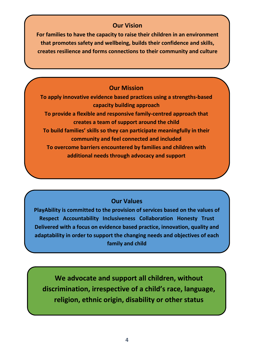### **Our Vision**

**For families to have the capacity to raise their children in an environment have the in an environment that promotes sfaty and wellbeing, builds their confidence and skills, that promotes safety and wellbeing, builds their confidence and skills, creates resilience and forms connections to their community and culture forms connections to their** 

### **Our Mission**

**To apply innovative evidence based practices using a strengths-based capacity building approach To provide a flexible and responsive family-centred approach that creates a team of support around the child To build families' skills so they can participate meaningfully in their community and feel connected and included To overcome barriers encountered by families and children with additional needs through advocacy and support**

### **Our Values**

**PlayAbility is committed to the provision of services based on the values of Respect Accountability Inclusiveness Collaboration Honesty Trust Delivered with a focus on evidence based practice, innovation, quality and adaptability in order to support the changing needs and objectives of each family and child** 

**We advocate and support all children, without discrimination, irrespective of a child's race, language, religion, ethnic origin, disability or other status**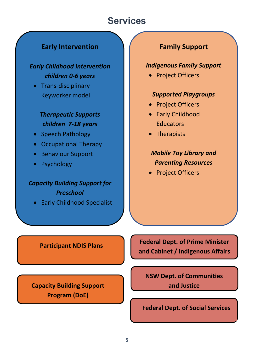# **Services**

### **Early Intervention**

### *Early Childhood Intervention children 0-6 years*

• Trans-disciplinary Keyworker model

### *Therapeutic Supports children 7-18 years*

- Speech Pathology
- Occupational Therapy
- Behaviour Support
- Psychology

### *Capacity Building Support for Preschool*

• Early Childhood Specialist

### **Family Support**

### *Indigenous Family Support*

• Project Officers

### *Supported Playgroups*

- Project Officers
- Early Childhood **Educators**
- Therapists

### *Mobile Toy Library and Parenting Resources*

• Project Officers

### **Participant NDIS Plans**

**Capacity Building Support Program (DoE)**

**Federal Dept. of Prime Minister and Cabinet / Indigenous Affairs**

**NSW Dept. of Communities and Justice**

**Federal Dept. of Social Services**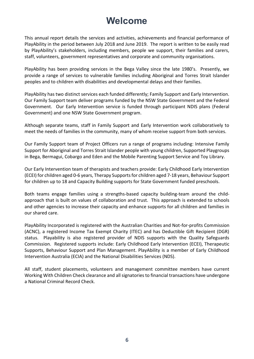# **Welcome**

This annual report details the services and activities, achievements and financial performance of PlayAbility in the period between July 2018 and June 2019. The report is written to be easily read by PlayAbility's stakeholders, including members, people we support, their families and carers, staff, volunteers, government representatives and corporate and community organisations.

PlayAbility has been providing services in the Bega Valley since the late 1980's. Presently, we provide a range of services to vulnerable families including Aboriginal and Torres Strait Islander peoples and to children with disabilities and developmental delays and their families.

PlayAbility has two distinct services each funded differently; Family Support and Early Intervention. Our Family Support team deliver programs funded by the NSW State Government and the Federal Government. Our Early Intervention service is funded through participant NDIS plans (Federal Government) and one NSW State Government program.

Although separate teams, staff in Family Support and Early Intervention work collaboratively to meet the needs of families in the community, many of whom receive support from both services.

Our Family Support team of Project Officers run a range of programs including: Intensive Family Support for Aboriginal and Torres Strait Islander people with young children, Supported Playgroups in Bega, Bermagui, Cobargo and Eden and the Mobile Parenting Support Service and Toy Library.

Our Early Intervention team of therapists and teachers provide: Early Childhood Early Intervention (ECEI) for children aged 0-6 years, Therapy Supports for children aged 7-18 years, Behaviour Support for children up to 18 and Capacity Building supports for State Government funded preschools.

Both teams engage families using a strengths-based capacity building-team around the childapproach that is built on values of collaboration and trust. This approach is extended to schools and other agencies to increase their capacity and enhance supports for all children and families in our shared care.

PlayAbility Incorporated is registered with the Australian Charities and Not-for-profits Commission (ACNC), a registered Income Tax Exempt Charity (ITEC) and has Deductible Gift Recipient (DGR) status. Playability is also registered provider of NDIS supports with the Quality Safeguards Commission. Registered supports include: Early Childhood Early Intervention (ECEI), Therapeutic Supports, Behaviour Support and Plan Management. PlayAbility is a member of Early Childhood Intervention Australia (ECIA) and the National Disabilities Services (NDS).

All staff, student placements, volunteers and management committee members have current Working With Children Check clearance and all signatories to financial transactions have undergone a National Criminal Record Check.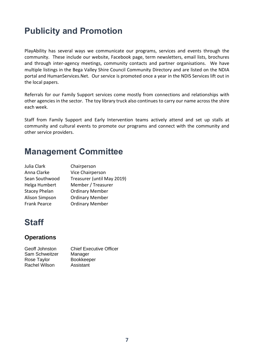# **Publicity and Promotion**

PlayAbility has several ways we communicate our programs, services and events through the community. These include our website, Facebook page, term newsletters, email lists, brochures and through inter-agency meetings, community contacts and partner organisations. We have multiple listings in the Bega Valley Shire Council Community Directory and are listed on the NDIA portal and HumanServices.Net. Our service is promoted once a year in the NDIS Services lift out in the local papers.

Referrals for our Family Support services come mostly from connections and relationships with other agencies in the sector. The toy library truck also continues to carry our name across the shire each week.

Staff from Family Support and Early Intervention teams actively attend and set up stalls at community and cultural events to promote our programs and connect with the community and other service providers.

# **Management Committee**

| Julia Clark           | Chairperson                |
|-----------------------|----------------------------|
| Anna Clarke           | Vice Chairperson           |
| Sean Southwood        | Treasurer (until May 2019) |
| Helga Humbert         | Member / Treasurer         |
| <b>Stacey Phelan</b>  | <b>Ordinary Member</b>     |
| <b>Alison Simpson</b> | <b>Ordinary Member</b>     |
| <b>Frank Pearce</b>   | <b>Ordinary Member</b>     |

# **Staff**

### **Operations**

| Geoff Johnston       | <b>Chief Executive Officer</b> |
|----------------------|--------------------------------|
| Sam Schweitzer       | Manager                        |
| Rose Taylor          | <b>Bookkeeper</b>              |
| <b>Rachel Wilson</b> | Assistant                      |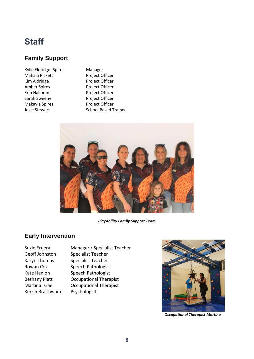# **Staff**

### **Family Support**

Kylie Eldridge- Spires Manager Mahala Pickett Project Officer Kim Aldridge Project Officer Amber Spires Project Officer Erin Halloran Project Officer Sarah Sweeny Project Officer Makayla Spires Project Officer

Josie Stewart School Based Trainee



*PlayAbility Family Support Team*

### **Early Intervention**

Geoff Johnston Specialist Teacher Karyn Thomas Specialist Teacher Kerrin Braithwaite Psychologist

Suzie Eruera Manager / Specialist Teacher Rowan Cox Speech Pathologist Kate Hanlon Speech Pathologist Bethany Platt Occupational Therapist Martina Israel Occupational Therapist



 *Occupational Therapist Martina*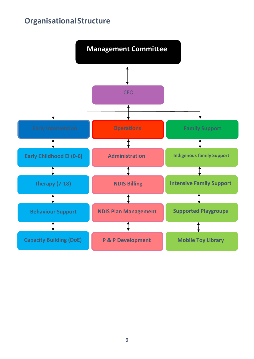## **OrganisationalStructure**

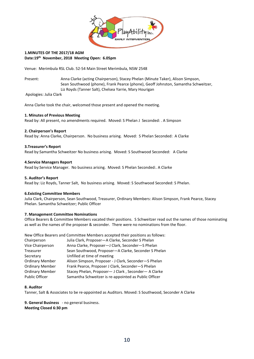

#### **1.MINUTES OF THE 2017/18 AGM Date:19th November, 2018 Meeting Open: 6.05pm**

Venue: Merimbula RSL Club. 52-54 Main Street Merimbula, NSW 2548

Present: Anna Clarke (acting Chairperson), Stacey Phelan (Minute Taker), Alison Simpson, Sean Southwood (phone), Frank Pearce (phone), Geoff Johnston, Samantha Schweitzer, Liz Royds (Tanner Salt), Chelsea Yarrie, Mary Hourigan

Apologies: Julia Clark

Anna Clarke took the chair, welcomed those present and opened the meeting.

#### **1. Minutes of Previous Meeting**

Read by: All present, no amendments required. Moved: S Phelan J Seconded: . A Simpson

#### **2. Chairperson's Report**

Read by: Anna Clarke, Chairperson. No business arising. Moved: S Phelan Seconded: A Clarke

#### **3.Treasurer's Report**

Read by:Samantha Schweitzer No business arising. Moved: S Southwood Seconded: A Clarke

#### **4.Service Managers Report**

Read by:Service Manager. No business arising. Moved: S Phelan Seconded:. A Clarke

#### **5. Auditor's Report**

Read by: Liz Royds, Tanner Salt, No business arising. Moved: S Southwood Seconded: S Phelan.

#### **6.Existing Committee Members**

Julia Clark, Chairperson, Sean Southwood, Treasurer, Ordinary Members: Alison Simpson, Frank Pearce, Stacey Phelan. Samantha Schweitzer; Public Officer

#### **7. Management Committee Nominations**

Office Bearers & Committee Members vacated their positions. S Schweitzer read out the names of those nominating as well as the names of the proposer & seconder. There were no nominations from the floor.

New Office Bearers and Committee Members accepted their positions as follows:

| Chairperson            | Julia Clark, Proposer-A Clarke, Seconder S Phelan     |
|------------------------|-------------------------------------------------------|
| Vice Chairperson       | Anna Clarke, Proposer-J Clark, Seconder-S Phelan      |
| Treasurer              | Sean Southwood, Proposer-A Clarke, Seconder S Phelan  |
| Secretary              | Unfilled at time of meeting                           |
| <b>Ordinary Member</b> | Alison Simpson, Proposer - J Clark, Seconder-S Phelan |
| <b>Ordinary Member</b> | Frank Pearce, Proposer J Clark, Seconder-S Phelan     |
| <b>Ordinary Member</b> | Stacey Phelan, Proposer- J Clark, Seconder- A Clarke  |
| <b>Public Officer</b>  | Samantha Schweitzer is re-appointed as Public Officer |

#### **8. Auditor**

Tanner, Salt & Associates to be re-appointed as Auditors. Moved: S Southwood, Seconder A Clarke

**9. General Business** - no general business. **Meeting Closed 6:30 pm**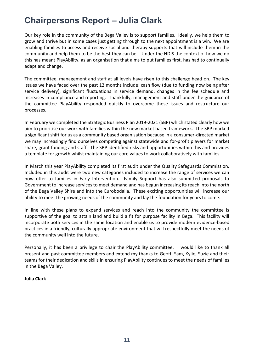# **Chairpersons Report – Julia Clark**

Our key role in the community of the Bega Valley is to support families. Ideally, we help them to grow and thrive but in some cases just getting through to the next appointment is a win. We are enabling families to access and receive social and therapy supports that will include them in the community and help them to be the best they can be. Under the NDIS the context of how we do this has meant PlayAbility, as an organisation that aims to put families first, has had to continually adapt and change.

The committee, management and staff at all levels have risen to this challenge head on. The key issues we have faced over the past 12 months include: cash flow (due to funding now being after service delivery), significant fluctuations in service demand, changes in the fee schedule and increases in compliance and reporting. Thankfully, management and staff under the guidance of the committee PlayAbility responded quickly to overcome these issues and restructure our processes.

In February we completed the Strategic Business Plan 2019-2021 (SBP) which stated clearly how we aim to prioritise our work with families within the new market based framework. The SBP marked a significant shift for us as a community based organisation because in a consumer-directed market we may increasingly find ourselves competing against statewide and for-profit players for market share, grant funding and staff. The SBP identified risks and opportunities within this and provides a template for growth whilst maintaining our core values to work collaboratively with families.

In March this year PlayAbility completed its first audit under the Quality Safeguards Commission. Included in this audit were two new categories included to increase the range of services we can now offer to families in Early Intervention. Family Support has also submitted proposals to Government to increase services to meet demand and has begun increasing its reach into the north of the Bega Valley Shire and into the Eurobodalla. These exciting opportunities will increase our ability to meet the growing needs of the community and lay the foundation for years to come.

In line with these plans to expand services and reach into the community the committee is supportive of the goal to attain land and build a fit for purpose facility in Bega. This facility will incorporate both services in the same location and enable us to provide modern evidence-based practices in a friendly, culturally appropriate environment that will respectfully meet the needs of the community well into the future.

Personally, it has been a privilege to chair the PlayAbility committee. I would like to thank all present and past committee members and extend my thanks to Geoff, Sam, Kylie, Suzie and their teams for their dedication and skills in ensuring PlayAbility continues to meet the needs of families in the Bega Valley.

#### **Julia Clark**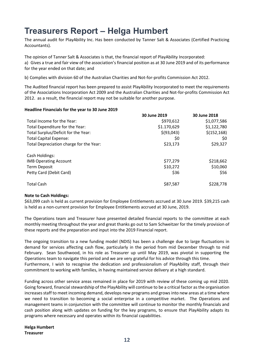# **Treasurers Report – Helga Humbert**

The annual audit for PlayAbility Inc. Has been conducted by Tanner Salt & Associates (Certified Practicing Accountants).

The opinion of Tanner Salt & Associates is that, the financial report of PlayAbility Incorporated: a) Gives a true and fair view of the association's financial position as at 30 June 2019 and of its performance for the year ended on that date; and

b) Complies with division 60 of the Australian Charities and Not-for-profits Commission Act 2012.

The Audited financial report has been prepared to assist PlayAbility Incorporated to meet the requirements of the Associations Incorporation Act 2009 and the Australian Charities and Not-for-profits Commission Act 2012. as a result, the financial report may not be suitable for another purpose.

#### **Headline Financials for the year to 30 June 2019**

|                                         | 30 June 2019 | 30 June 2018 |
|-----------------------------------------|--------------|--------------|
| Total Income for the Year:              | \$970,612    | \$1,077,586  |
| Total Expenditure for the Year:         | \$1.170,629  | \$1,122,780  |
| Total Surplus/Deficit for the Year:     | \$ (93, 043) | \$(152, 168) |
| <b>Total Capital Expense:</b>           | \$0          | \$0          |
| Total Depreciation charge for the Year: | \$23,173     | \$29,327     |
| Cash Holdings:                          |              |              |
| <b>IMB Operating Account</b>            | \$77,279     | \$218,662    |
| Term Deposit                            | \$10,272     | \$10,060     |
| Petty Card (Debit Card)                 | \$36         | \$56         |
| <b>Total Cash</b>                       | \$87,587     | \$228,778    |

#### **Note to Cash Holdings:**

\$63,099 cash is held as current provision for Employee Entitlements accrued at 30 June 2019. \$39,215 cash is held as a non-current provision for Employee Entitlements accrued at 30 June, 2019.

The Operations team and Treasurer have presented detailed financial reports to the committee at each monthly meeting throughout the year and great thanks go out to Sam Schweitzer for the timely provision of these reports and the preparation and input into the 2019 Financial report.

The ongoing transition to a new funding model (NDIS) has been a challenge due to large fluctuations in demand for services affecting cash flow, particularly in the period from mid December through to mid February. Sean Southwood, in his role as Treasurer up until May 2019, was pivotal in supporting the Operations team to navigate this period and we are very grateful for his advice through this time. Furthermore, I wish to recognise the dedication and professionalism of PlayAbility staff, through their commitment to working with families, in having maintained service delivery at a high standard.

Funding across other service areas remained in place for 2019 with review of these coming up mid 2020. Going forward, financial stewardship of the PlayAbility will continue to be a critical factor as the organisation increases staff to meet incoming demand, develops new programs and grows into new areas at a time where we need to transition to becoming a social enterprise in a competitive market. The Operations and management teams in conjunction with the committee will continue to monitor the monthly financials and cash position along with updates on funding for the key programs, to ensure that PlayAbility adapts its programs where necessary and operates within its financial capabilities.

**Helga Humbert Treasurer**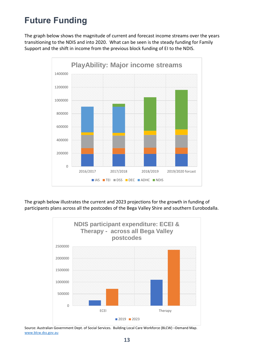# **Future Funding**

The graph below shows the magnitude of current and forecast income streams over the years transitioning to the NDIS and into 2020. What can be seen is the steady funding for Family Support and the shift in income from the previous block funding of EI to the NDIS.



The graph below illustrates the current and 2023 projections for the growth in funding of participants plans across all the postcodes of the Bega Valley Shire and southern Eurobodalla.



Source: Australian Government Dept. of Social Services. Building Local Care Workforce (BLCW) –Demand Map. [www.blcw.dss.gov.au](http://www.blcw.dss.gov.au/)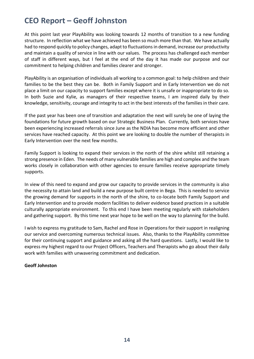# **CEO Report – Geoff Johnston**

At this point last year PlayAbility was looking towards 12 months of transition to a new funding structure. In reflection what we have achieved has been so much more than that. We have actually had to respond quickly to policy changes, adapt to fluctuations in demand, increase our productivity and maintain a quality of service in line with our values. The process has challenged each member of staff in different ways, but I feel at the end of the day it has made our purpose and our commitment to helping children and families clearer and stronger.

PlayAbility is an organisation of individuals all working to a common goal: to help children and their families to be the best they can be. Both in Family Support and in Early Intervention we do not place a limit on our capacity to support families except where it is unsafe or inappropriate to do so. In both Suzie and Kylie, as managers of their respective teams, I am inspired daily by their knowledge, sensitivity, courage and integrity to act in the best interests of the families in their care.

If the past year has been one of transition and adaptation the next will surely be one of laying the foundations for future growth based on our Strategic Business Plan. Currently, both services have been experiencing increased referrals since June as the NDIA has become more efficient and other services have reached capacity. At this point we are looking to double the number of therapists in Early Intervention over the next few months.

Family Support is looking to expand their services in the north of the shire whilst still retaining a strong presence in Eden. The needs of many vulnerable families are high and complex and the team works closely in collaboration with other agencies to ensure families receive appropriate timely supports.

In view of this need to expand and grow our capacity to provide services in the community is also the necessity to attain land and build a new purpose built centre in Bega. This is needed to service the growing demand for supports in the north of the shire, to co-locate both Family Support and Early Intervention and to provide modern facilities to deliver evidence based practices in a suitable culturally appropriate environment. To this end I have been meeting regularly with stakeholders and gathering support. By this time next year hope to be well on the way to planning for the build.

I wish to express my gratitude to Sam, Rachel and Rose in Operations for their support in realigning our service and overcoming numerous technical issues. Also, thanks to the PlayAbility committee for their continuing support and guidance and asking all the hard questions. Lastly, I would like to express my highest regard to our Project Officers, Teachers and Therapists who go about their daily work with families with unwavering commitment and dedication.

#### **Geoff Johnston**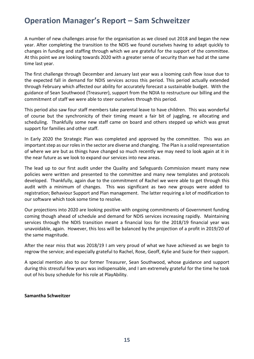# **Operation Manager's Report – Sam Schweitzer**

A number of new challenges arose for the organisation as we closed out 2018 and began the new year. After completing the transition to the NDIS we found ourselves having to adapt quickly to changes in funding and staffing through which we are grateful for the support of the committee. At this point we are looking towards 2020 with a greater sense of security than we had at the same time last year.

The first challenge through December and January last year was a looming cash flow issue due to the expected fall in demand for NDIS services across this period. This period actually extended through February which affected our ability for accurately forecast a sustainable budget. With the guidance of Sean Southwood (Treasurer), support from the NDIA to restructure our billing and the commitment of staff we were able to steer ourselves through this period.

This period also saw four staff members take parental leave to have children. This was wonderful of course but the synchronicity of their timing meant a fair bit of juggling, re allocating and scheduling. Thankfully some new staff came on board and others stepped up which was great support for families and other staff.

In Early 2020 the Strategic Plan was completed and approved by the committee. This was an important step as our roles in the sector are diverse and changing. The Plan is a solid representation of where we are but as things have changed so much recently we may need to look again at it in the near future as we look to expand our services into new areas.

The lead up to our first audit under the Quality and Safeguards Commission meant many new policies were written and presented to the committee and many new templates and protocols developed. Thankfully, again due to the commitment of Rachel we were able to get through this audit with a minimum of changes. This was significant as two new groups were added to registration; Behaviour Support and Plan management. The latter requiring a lot of modification to our software which took some time to resolve.

Our projections into 2020 are looking positive with ongoing commitments of Government funding coming though ahead of schedule and demand for NDIS services increasing rapidly. Maintaining services through the NDIS transition meant a financial loss for the 2018/19 financial year was unavoidable, again. However, this loss will be balanced by the projection of a profit in 2019/20 of the same magnitude.

After the near miss that was 2018/19 I am very proud of what we have achieved as we begin to regrow the service; and especially grateful to Rachel, Rose, Geoff, Kylie and Suzie for their support.

A special mention also to our former Treasurer, Sean Southwood, whose guidance and support during this stressful few years was indispensable, and I am extremely grateful for the time he took out of his busy schedule for his role at PlayAbility.

#### **Samantha Schweitzer**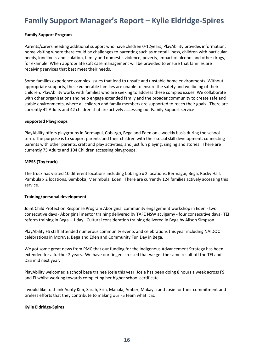# **Family Support Manager's Report – Kylie Eldridge-Spires**

#### **Family Support Program**

Parents/carers needing additional support who have children 0-12years; PlayAbility provides information, home visiting where there could be challenges to parenting such as mental illness, children with particular needs, loneliness and isolation, family and domestic violence, poverty, impact of alcohol and other drugs, for example. When appropriate soft case management will be provided to ensure that families are receiving services that best meet their needs.

Some families experience complex issues that lead to unsafe and unstable home environments. Without appropriate supports, these vulnerable families are unable to ensure the safety and wellbeing of their children. PlayAbility works with families who are seeking to address these complex issues. We collaborate with other organisations and help engage extended family and the broader community to create safe and stable environments, where all children and family members are supported to reach their goals. There are currently 42 Adults and 42 children that are actively accessing our Family Support service

#### **Supported Playgroups**

PlayAbility offers playgroups in Bermagui, Cobargo, Bega and Eden on a weekly basis during the school term. The purpose is to support parents and their children with their social skill development, connecting parents with other parents, craft and play activities, and just fun playing, singing and stories. There are currently 75 Adults and 104 Children accessing playgroups.

#### **MPSS (Toy truck)**

The truck has visited 10 different locations including Cobargo x 2 locations, Bermagui, Bega, Rocky Hall, Pambula x 2 locations, Bemboka, Merimbula, Eden. There are currently 124 families actively accessing this service.

#### **Training/personal development**

Joint Child Protection Response Program Aboriginal community engagement workshop in Eden - two consecutive days · Aboriginal mentor training delivered by TAFE NSW at Jigamy - four consecutive days · TEI reform training in Bega  $-1$  day  $\cdot$  Cultural consideration training delivered in Bega by Alison Simpson

PlayAbility FS staff attended numerous community events and celebrations this year including NAIDOC celebrations in Moruya, Bega and Eden and Community Fun Day in Bega.

We got some great news from PMC that our funding for the Indigenous Advancement Strategy has been extended for a further 2 years. We have our fingers crossed that we get the same result off the TEI and DSS mid next year.

PlayAbility welcomed a school base trainee Josie this year. Josie has been doing 8 hours a week across FS and EI whilst working towards completing her higher school certificate.

I would like to thank Aunty Kim, Sarah, Erin, Mahala, Amber, Makayla and Josie for their commitment and tireless efforts that they contribute to making our FS team what it is.

#### **Kylie Eldridge-Spires**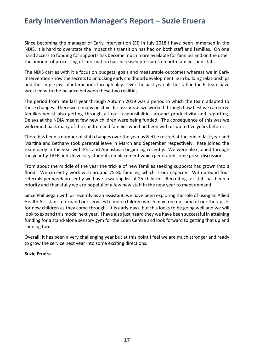# **Early Intervention Manager's Report – Suzie Eruera**

Since becoming the manager of Early Intervention (EI) in July 2018 I have been immersed in the NDIS. It is hard to overstate the impact this transition has had on both staff and families. On one hand access to funding for supports has become much more available for families and on the other the amount of processing of information has increased pressures on both families and staff.

The NDIS carries with it a focus on budgets, goals and measurable outcomes whereas we in Early Intervention know the secrets to unlocking early childhood development lie in building relationships and the simple joys of interactions through play. Over the past year all the staff in the EI team have wrestled with the balance between these two realities.

The period from late last year through Autumn 2019 was a period in which the team adapted to these changes. There were many positive discussions as we worked through how best we can serve families whilst also getting through all our responsibilities around productivity and reporting. Delays at the NDIA meant few new children were being funded. The consequence of this was we welcomed back many of the children and families who had been with us up to five years before.

There has been a number of staff changes over the year as Nettie retired at the end of last year and Martina and Bethany took parental leave in March and September respectively. Kate joined the team early in the year with Phil and Annastasia beginning recently. We were also joined through the year by TAFE and University students on placement which generated some great discussions.

From about the middle of the year the trickle of new families seeking supports has grown into a flood. We currently work with around 75-80 families, which is our capacity. With around four referrals per week presently we have a waiting list of 25 children. Recruiting for staff has been a priority and thankfully we are hopeful of a few new staff in the new year to meet demand.

Since Phil began with us recently as an assistant, we have been exploring the role of using an Allied Health Assistant to expand our services to more children which may free up some of our therapists for new children as they come through. It is early days, but this looks to be going well and we will look to expand this model next year. I have also just heard they we have been successful in attaining funding for a stand-alone sensory gym for the Eden Centre and look forward to getting that up and running too.

Overall, it has been a very challenging year but at this point I feel we are much stronger and ready to grow the service next year into some exciting directions.

#### **Suzie Eruera**